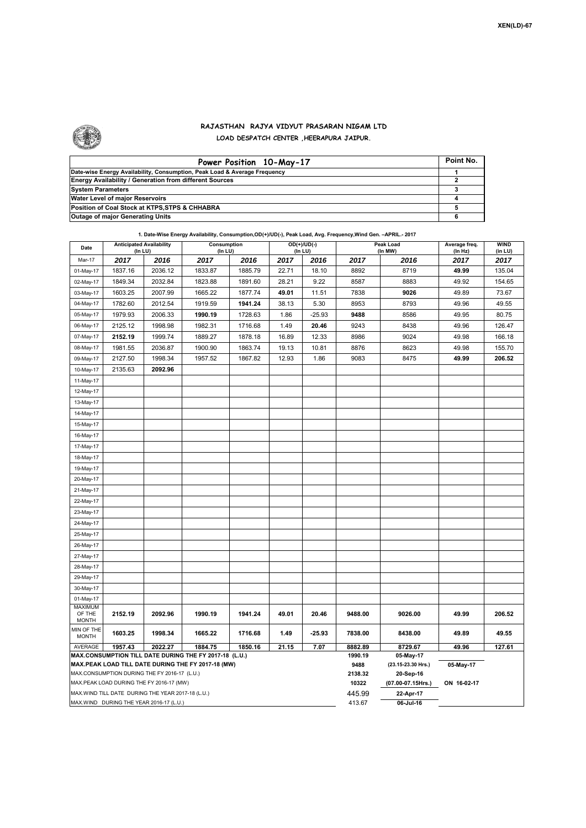

## **RAJASTHAN RAJYA VIDYUT PRASARAN NIGAM LTD**

**LOAD DESPATCH CENTER ,HEERAPURA JAIPUR.**

| Power Position 10-May-17                                                  | Point No. |
|---------------------------------------------------------------------------|-----------|
| Date-wise Energy Availability, Consumption, Peak Load & Average Frequency |           |
| <b>Energy Availability / Generation from different Sources</b>            |           |
| <b>System Parameters</b>                                                  |           |
| Water Level of major Reservoirs                                           |           |
| Position of Coal Stock at KTPS, STPS & CHHABRA                            |           |
| <b>Outage of major Generating Units</b>                                   |           |

| Date                                                                                                                                                                                                                      | <b>Anticipated Availability</b><br>(In LU) |         | Consumption<br>(In LU) |         |       | OD(+)/UD(-)<br>(In LU) |                  | Peak Load<br>(In MW)            | Average freq.<br>(ln Hz) | WIND<br>(in LU) |  |
|---------------------------------------------------------------------------------------------------------------------------------------------------------------------------------------------------------------------------|--------------------------------------------|---------|------------------------|---------|-------|------------------------|------------------|---------------------------------|--------------------------|-----------------|--|
| Mar-17                                                                                                                                                                                                                    | 2017                                       | 2016    | 2017                   | 2016    | 2017  | 2016                   | 2017             | 2016                            | 2017                     | 2017            |  |
| 01-May-17                                                                                                                                                                                                                 | 1837.16                                    | 2036.12 | 1833.87                | 1885.79 | 22.71 | 18.10                  | 8892             | 8719                            | 49.99                    | 135.04          |  |
| 02-May-17                                                                                                                                                                                                                 | 1849.34                                    | 2032.84 | 1823.88                | 1891.60 | 28.21 | 9.22                   | 8587             | 8883                            | 49.92                    | 154.65          |  |
| 03-May-17                                                                                                                                                                                                                 | 1603.25                                    | 2007.99 | 1665.22                | 1877.74 | 49.01 | 11.51                  | 7838             | 9026                            | 49.89                    | 73.67           |  |
| 04-May-17                                                                                                                                                                                                                 | 1782.60                                    | 2012.54 | 1919.59                | 1941.24 | 38.13 | 5.30                   | 8953             | 8793                            | 49.96                    | 49.55           |  |
| 05-May-17                                                                                                                                                                                                                 | 1979.93                                    | 2006.33 | 1990.19                | 1728.63 | 1.86  | $-25.93$               | 9488             | 8586                            | 49.95                    | 80.75           |  |
| 06-May-17                                                                                                                                                                                                                 | 2125.12                                    | 1998.98 | 1982.31                | 1716.68 | 1.49  | 20.46                  | 9243             | 8438                            | 49.96                    | 126.47          |  |
| 07-May-17                                                                                                                                                                                                                 | 2152.19                                    | 1999.74 | 1889.27                | 1878.18 | 16.89 | 12.33                  | 8986             | 9024                            | 49.98                    | 166.18          |  |
| 08-May-17                                                                                                                                                                                                                 | 1981.55                                    | 2036.87 | 1900.90                | 1863.74 | 19.13 | 10.81                  | 8876             | 8623                            | 49.98                    | 155.70          |  |
| 09-May-17                                                                                                                                                                                                                 | 2127.50                                    | 1998.34 | 1957.52                | 1867.82 | 12.93 | 1.86                   | 9083             | 8475                            | 49.99                    | 206.52          |  |
| 10-May-17                                                                                                                                                                                                                 | 2135.63                                    | 2092.96 |                        |         |       |                        |                  |                                 |                          |                 |  |
| 11-May-17                                                                                                                                                                                                                 |                                            |         |                        |         |       |                        |                  |                                 |                          |                 |  |
| 12-May-17                                                                                                                                                                                                                 |                                            |         |                        |         |       |                        |                  |                                 |                          |                 |  |
| 13-May-17                                                                                                                                                                                                                 |                                            |         |                        |         |       |                        |                  |                                 |                          |                 |  |
| 14-May-17                                                                                                                                                                                                                 |                                            |         |                        |         |       |                        |                  |                                 |                          |                 |  |
| 15-May-17                                                                                                                                                                                                                 |                                            |         |                        |         |       |                        |                  |                                 |                          |                 |  |
| 16-May-17                                                                                                                                                                                                                 |                                            |         |                        |         |       |                        |                  |                                 |                          |                 |  |
| 17-May-17                                                                                                                                                                                                                 |                                            |         |                        |         |       |                        |                  |                                 |                          |                 |  |
| 18-May-17                                                                                                                                                                                                                 |                                            |         |                        |         |       |                        |                  |                                 |                          |                 |  |
| 19-May-17                                                                                                                                                                                                                 |                                            |         |                        |         |       |                        |                  |                                 |                          |                 |  |
| 20-May-17                                                                                                                                                                                                                 |                                            |         |                        |         |       |                        |                  |                                 |                          |                 |  |
| 21-May-17                                                                                                                                                                                                                 |                                            |         |                        |         |       |                        |                  |                                 |                          |                 |  |
| 22-May-17                                                                                                                                                                                                                 |                                            |         |                        |         |       |                        |                  |                                 |                          |                 |  |
| 23-May-17                                                                                                                                                                                                                 |                                            |         |                        |         |       |                        |                  |                                 |                          |                 |  |
| 24-May-17                                                                                                                                                                                                                 |                                            |         |                        |         |       |                        |                  |                                 |                          |                 |  |
| 25-May-17                                                                                                                                                                                                                 |                                            |         |                        |         |       |                        |                  |                                 |                          |                 |  |
| 26-May-17                                                                                                                                                                                                                 |                                            |         |                        |         |       |                        |                  |                                 |                          |                 |  |
| 27-May-17                                                                                                                                                                                                                 |                                            |         |                        |         |       |                        |                  |                                 |                          |                 |  |
| 28-May-17                                                                                                                                                                                                                 |                                            |         |                        |         |       |                        |                  |                                 |                          |                 |  |
| 29-May-17                                                                                                                                                                                                                 |                                            |         |                        |         |       |                        |                  |                                 |                          |                 |  |
| 30-May-17                                                                                                                                                                                                                 |                                            |         |                        |         |       |                        |                  |                                 |                          |                 |  |
| 01-May-17                                                                                                                                                                                                                 |                                            |         |                        |         |       |                        |                  |                                 |                          |                 |  |
| OF THE<br><b>MONTH</b>                                                                                                                                                                                                    | 2152.19                                    | 2092.96 | 1990.19                | 1941.24 | 49.01 | 20.46                  | 9488.00          | 9026.00                         | 49.99                    | 206.52          |  |
| MIN OF THE<br><b>MONTH</b>                                                                                                                                                                                                | 1603.25                                    | 1998.34 | 1665.22                | 1716.68 | 1.49  | $-25.93$               | 7838.00          | 8438.00                         | 49.89                    | 49.55           |  |
| AVERAGE                                                                                                                                                                                                                   | 1957.43                                    | 2022.27 | 1884.75                | 1850.16 | 21.15 | 7.07                   | 8882.89          | 8729.67                         | 49.96                    | 127.61          |  |
|                                                                                                                                                                                                                           |                                            |         |                        |         |       |                        | 1990.19<br>9488  | 05-May-17<br>(23.15-23.30 Hrs.) |                          |                 |  |
|                                                                                                                                                                                                                           |                                            |         |                        |         |       |                        |                  | 20-Sep-16                       | 05-May-17                |                 |  |
| MAX.PEAK LOAD DURING THE FY 2016-17 (MW)                                                                                                                                                                                  |                                            |         |                        |         |       |                        | 2138.32<br>10322 | (07.00-07.15Hrs.)               | ON 16-02-17              |                 |  |
| MAX.WIND TILL DATE DURING THE YEAR 2017-18 (L.U.)                                                                                                                                                                         |                                            |         |                        |         |       |                        | 445.99           | 22-Apr-17                       |                          |                 |  |
| <b>MAXIMUM</b><br>MAX.CONSUMPTION TILL DATE DURING THE FY 2017-18 (L.U.)<br>MAX.PEAK LOAD TILL DATE DURING THE FY 2017-18 (MW)<br>MAX.CONSUMPTION DURING THE FY 2016-17 (L.U.)<br>MAX.WIND DURING THE YEAR 2016-17 (L.U.) |                                            |         |                        |         |       |                        | 413.67           | 06-Jul-16                       |                          |                 |  |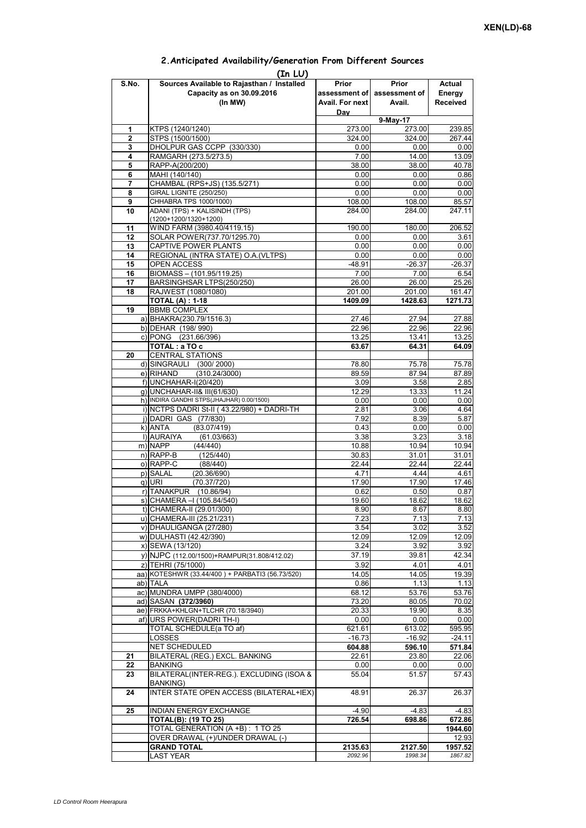## **Prior assessment of Avail. For next Day Prior assessment of Avail. Actual Energy Received 1** KTPS (1240/1240) 273.00 273.00 239.85 **2** STPS (1500/1500)<br>**3** DHOI PUR GAS CCPP (330/330) **324.00** 324.00 **324.00** 267.44 **3** DHOLPUR GAS CCPP (330/330) **4** RAMGARH (273.5/273.5) 7.00 14.00 13.09<br> **5** RAPP-A(200/200) 7.00 38.00 38.00 40.78 **5** RAPP-A(200/200) **38.00** 38.00 **6** MAHI (140/140) **38.00 6** MAHI (140/140) 0.00 0.00 0.86 **7** CHAMBAL (RPS+JS) (135.5/271) 0.00 0.00 0.00 0.00 **8** GIRAL LIGNITE (250/250) **0.00** 0.00 0.00 0.00 0.00<br>**9** CHHABRA TPS 1000/1000) 0.00 108.00 108.00 0.00 **9** CHHABRA TPS 1000/1000) **10** ADANI (TPS) + KALISINDH (TPS) (1200+1200/1320+1200) 284.00 284.00 247.11 11 | WIND FARM (3980.40/4119.15) | 190.00 180.00 | 206.52 12 SOLAR POWER(737.70/1295.70) 0.00 0.00 0.00 3.61 **13** CAPTIVE POWER PLANTS 0.00 0.00 0.00 0.00 **14** REGIONAL (INTRA STATE) O.A.(VLTPS) 0.00 0.00 0.00 0.00 0.00 15 OPEN ACCESS -48.91 -26.37 -26.37 -26.37 -48.91 - 26.37 -26.37 -26.37 -26.37 -26.37 - 26.37 - 26.37 - 26.37 - 26.37 - 26.37 - 26.37 - 26.37 - 26.37 - 26.37 - 26.37 - 26.37 - 26.37 - 26.37 - 26.37 - 26.37 - 26.54 - 27.00 **BIOMASS – (101.95/119.25) 17** BARSINGHSAR LTPS(250/250) 26.00 26.00 25.26 18 RAJWEST (1080/1080)<br>**18 RAJWEST (1080/1080)** 201.00 201.00 201.00 161.47<br>**1409.09 1428.63** 1271.73 **TOTAL (A) : 1-18 1409.09 1428.63 19** BBMB COMPLEX a) BHAKRA(230.79/1516.3) 27.46 27.94 27.88<br>b) DEHAR (198/990) 22.96 22.96 22.96 22.96 b) DEHAR (198/ 990) c) PONG (231.66/396) 13.25 13.41 13.25 **TOTAL : a TO c** 63.67 64.31 64.09 **20** CENTRAL STATIONS d) SINGRAULI (300/2000) 78.80 75.78 75.78<br>e) RIHAND (310.24/3000) 889.59 87.94 87.89  $e)$  RIHAND (310.24/3000) **(In LU) S.No. Sources Available to Rajasthan / Installed Capacity as on 30.09.2016 (In MW) 9-May-17** RIJ (2014)<br>To and the series of the series of the series of the series of the series of the series of the series of the s g) UNCHAHAR-II& III(61/630) 12.29 13.33 11.24 h) INDIRA GANDHI STPS(JHAJHAR) 0.00/1500) 0.00 0.00 0.00 0.00 0.00 i) NCTPS DADRI St-II (43.22/980) + DADRI-TH 2.81 3.06 4.64 j) DADRI GAS (77/830) 7.92 8.39 5.87 k) ANTA (83.07/419) 0.43 0.00 0.00 l) AURAIYA (61.03/663) 3.38 3.38 3.23 3.18<br>m) NAPP (44/440) 10.88 10.94 10.94 m) NAPP (44/440) 10.88 10.94 10.94 n) RAPP-B (125/440) 30.83 31.01 31.01 o) RAPP-C (88/440) 22.44 22.44 22.44 p) SALAL (20.36/690) 4.71 4.44 4.61<br>q) URI (70.37/720) 4.7.90 17.90 17.46 q) URI (70.37/720) 17.90 17.90 17.46 r) TANAKPUR (10.86/94) 0.62 0.50 0.87  $\overline{s}$ ) CHAMERA –I (105.84/540) t) CHAMERA-II (29.01/300) 8.80 u) CHAMERA-III (25.21/231) 7.23 7.13 7.13 v) DHAULIGANGA (27/280)  $\begin{array}{|c|c|c|c|c|c|c|c|} \hline \rule{0pt}{12pt} & 3.54 & 3.02 & 3.52 \\ \hline \end{array}$ w) DULHASTI (42.42/390) 12.09 12.09 12.09 12.09 x) SEWA (13/120) 3.92 3.92 3.92 3.92<br>v) NJPC (112.00/1500) + RAMPUR(31.808/412.02) 37.19 37.19 39.81 42.34 y) NJPC (112.00/1500)+RAMPUR(31.808/412.02) 37.19 39.81 z) TEHRI (75/1000) 3.92 4.01 4.01 4.01 4.05<br>a) KOTESHWR (33.44/400 ) + PARBATI3 (56.73/520) 4.05 4.05 4.05 4.05 4.039 aa) KOTESHWR (33.44/400) + PARBATI3 (56.73/520) ab)|TALA 0.86| 1.13| 1.13 ac) MUNDRA UMPP (380/4000) 68.12 53.76 53.76 ad) SASAN **(372/3960)** 70.02<br>ae) FRKKA+KHLGN+TLCHR (70.18/3940) 70.02 70.03 70.02 8.35 ae) FRKKA+KHLGN+TLCHR (70.18/3940) 20.33 19.90 af) URS POWER(DADRI TH-I) 0.00 0.00 0.00 TOTAL SCHEDULE(a TO af) 621.61 621.61 613.02 595.95 LOSSES -16.73 -16.92 -24.11 NET SCHEDULED **604.88 596.10 571.84 21** BILATERAL (REG.) EXCL. BANKING 22.61 23.80 22.06 **22** BANKING 0.00 0.00 0.00 **23** BILATERAL(INTER-REG.). EXCLUDING (ISOA & BANKING) 55.04 51.57 57.43 **24** INTER STATE OPEN ACCESS (BILATERAL+IEX) 48.91 26.37 26.37 25 INDIAN ENERGY EXCHANGE -4.90 -4.83 -4.83 -4.83 -4.83 -4.83 -4.83 -4.83 -4.83 -4.83 -4.83 -4.83 -4.83 -4.83 -4.83 -4.83 -4.83 -4.83 -4.83 -4.83 -4.83 -4.83 -4.83 -4.83 -4.83 -4.83 -4.83 -4.83 -4.83 -4.83 -4.83 -4.83 -4.8 **TOTAL(B): (19 TO 25) 726.54 698.86 672.86** TOTAL GENERATION (A +B) : 1 TO 25 **1944.60** OVER DRAWAL (+)/UNDER DRAWAL (-) **GRAND TOTAL 2135.63** 2127.50 1957.52 LAST YEAR *2092.96 1998.34 1867.82*

## **2.Anticipated Availability/Generation From Different Sources**